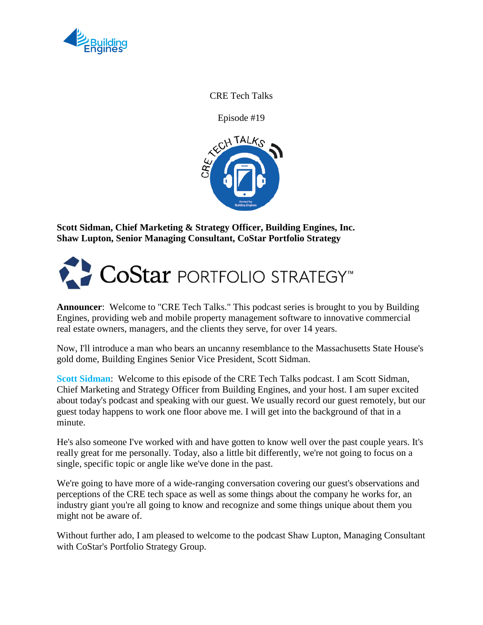

CRE Tech Talks

Episode #19



**Scott Sidman, Chief Marketing & Strategy Officer, Building Engines, Inc. Shaw Lupton, Senior Managing Consultant, CoStar Portfolio Strategy**



**Announcer**: Welcome to "CRE Tech Talks." This podcast series is brought to you by Building Engines, providing web and mobile property management software to innovative commercial real estate owners, managers, and the clients they serve, for over 14 years.

Now, I'll introduce a man who bears an uncanny resemblance to the Massachusetts State House's gold dome, Building Engines Senior Vice President, Scott Sidman.

**Scott Sidman**: Welcome to this episode of the CRE Tech Talks podcast. I am Scott Sidman, Chief Marketing and Strategy Officer from Building Engines, and your host. I am super excited about today's podcast and speaking with our guest. We usually record our guest remotely, but our guest today happens to work one floor above me. I will get into the background of that in a minute.

He's also someone I've worked with and have gotten to know well over the past couple years. It's really great for me personally. Today, also a little bit differently, we're not going to focus on a single, specific topic or angle like we've done in the past.

We're going to have more of a wide-ranging conversation covering our guest's observations and perceptions of the CRE tech space as well as some things about the company he works for, an industry giant you're all going to know and recognize and some things unique about them you might not be aware of.

Without further ado, I am pleased to welcome to the podcast Shaw Lupton, Managing Consultant with CoStar's Portfolio Strategy Group.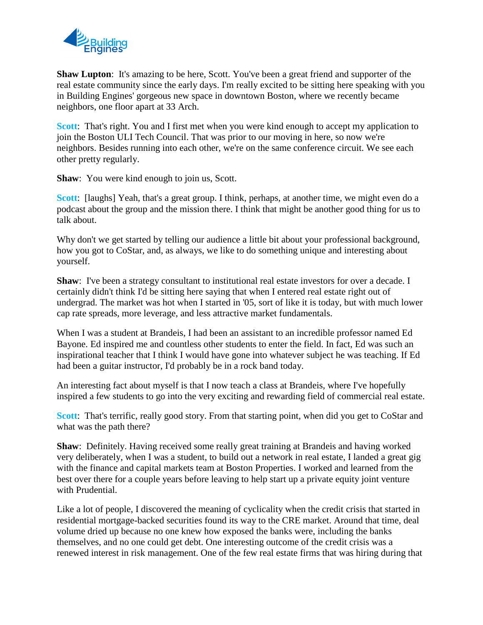

**Shaw Lupton**: It's amazing to be here, Scott. You've been a great friend and supporter of the real estate community since the early days. I'm really excited to be sitting here speaking with you in Building Engines' gorgeous new space in downtown Boston, where we recently became neighbors, one floor apart at 33 Arch.

**Scott**: That's right. You and I first met when you were kind enough to accept my application to join the Boston ULI Tech Council. That was prior to our moving in here, so now we're neighbors. Besides running into each other, we're on the same conference circuit. We see each other pretty regularly.

**Shaw**: You were kind enough to join us, Scott.

**Scott:** [laughs] Yeah, that's a great group. I think, perhaps, at another time, we might even do a podcast about the group and the mission there. I think that might be another good thing for us to talk about.

Why don't we get started by telling our audience a little bit about your professional background, how you got to CoStar, and, as always, we like to do something unique and interesting about yourself.

**Shaw**: I've been a strategy consultant to institutional real estate investors for over a decade. I certainly didn't think I'd be sitting here saying that when I entered real estate right out of undergrad. The market was hot when I started in '05, sort of like it is today, but with much lower cap rate spreads, more leverage, and less attractive market fundamentals.

When I was a student at Brandeis, I had been an assistant to an incredible professor named Ed Bayone. Ed inspired me and countless other students to enter the field. In fact, Ed was such an inspirational teacher that I think I would have gone into whatever subject he was teaching. If Ed had been a guitar instructor, I'd probably be in a rock band today.

An interesting fact about myself is that I now teach a class at Brandeis, where I've hopefully inspired a few students to go into the very exciting and rewarding field of commercial real estate.

**Scott:** That's terrific, really good story. From that starting point, when did you get to CoStar and what was the path there?

**Shaw**: Definitely. Having received some really great training at Brandeis and having worked very deliberately, when I was a student, to build out a network in real estate, I landed a great gig with the finance and capital markets team at Boston Properties. I worked and learned from the best over there for a couple years before leaving to help start up a private equity joint venture with Prudential.

Like a lot of people, I discovered the meaning of cyclicality when the credit crisis that started in residential mortgage-backed securities found its way to the CRE market. Around that time, deal volume dried up because no one knew how exposed the banks were, including the banks themselves, and no one could get debt. One interesting outcome of the credit crisis was a renewed interest in risk management. One of the few real estate firms that was hiring during that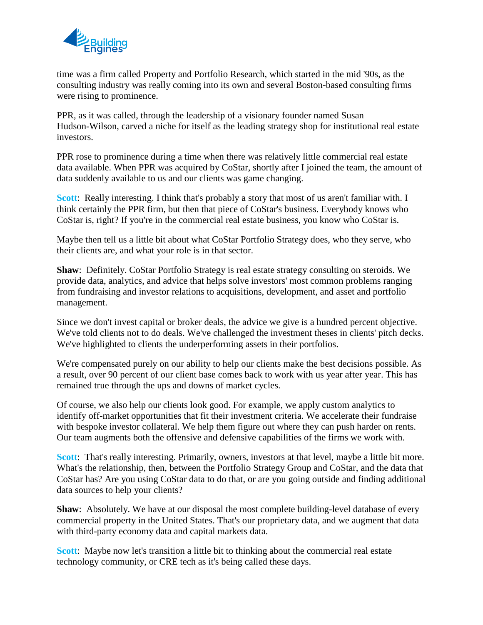

time was a firm called Property and Portfolio Research, which started in the mid '90s, as the consulting industry was really coming into its own and several Boston-based consulting firms were rising to prominence.

PPR, as it was called, through the leadership of a visionary founder named Susan Hudson-Wilson, carved a niche for itself as the leading strategy shop for institutional real estate investors.

PPR rose to prominence during a time when there was relatively little commercial real estate data available. When PPR was acquired by CoStar, shortly after I joined the team, the amount of data suddenly available to us and our clients was game changing.

**Scott**: Really interesting. I think that's probably a story that most of us aren't familiar with. I think certainly the PPR firm, but then that piece of CoStar's business. Everybody knows who CoStar is, right? If you're in the commercial real estate business, you know who CoStar is.

Maybe then tell us a little bit about what CoStar Portfolio Strategy does, who they serve, who their clients are, and what your role is in that sector.

**Shaw**: Definitely. CoStar Portfolio Strategy is real estate strategy consulting on steroids. We provide data, analytics, and advice that helps solve investors' most common problems ranging from fundraising and investor relations to acquisitions, development, and asset and portfolio management.

Since we don't invest capital or broker deals, the advice we give is a hundred percent objective. We've told clients not to do deals. We've challenged the investment theses in clients' pitch decks. We've highlighted to clients the underperforming assets in their portfolios.

We're compensated purely on our ability to help our clients make the best decisions possible. As a result, over 90 percent of our client base comes back to work with us year after year. This has remained true through the ups and downs of market cycles.

Of course, we also help our clients look good. For example, we apply custom analytics to identify off-market opportunities that fit their investment criteria. We accelerate their fundraise with bespoke investor collateral. We help them figure out where they can push harder on rents. Our team augments both the offensive and defensive capabilities of the firms we work with.

**Scott**: That's really interesting. Primarily, owners, investors at that level, maybe a little bit more. What's the relationship, then, between the Portfolio Strategy Group and CoStar, and the data that CoStar has? Are you using CoStar data to do that, or are you going outside and finding additional data sources to help your clients?

**Shaw**: Absolutely. We have at our disposal the most complete building-level database of every commercial property in the United States. That's our proprietary data, and we augment that data with third-party economy data and capital markets data.

**Scott:** Maybe now let's transition a little bit to thinking about the commercial real estate technology community, or CRE tech as it's being called these days.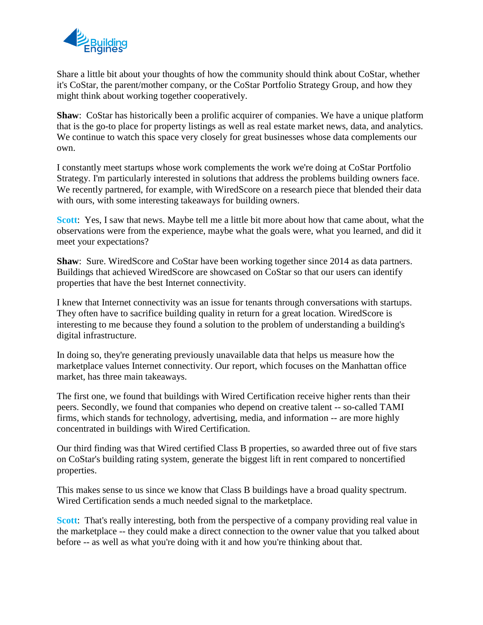

Share a little bit about your thoughts of how the community should think about CoStar, whether it's CoStar, the parent/mother company, or the CoStar Portfolio Strategy Group, and how they might think about working together cooperatively.

**Shaw**: CoStar has historically been a prolific acquirer of companies. We have a unique platform that is the go-to place for property listings as well as real estate market news, data, and analytics. We continue to watch this space very closely for great businesses whose data complements our own.

I constantly meet startups whose work complements the work we're doing at CoStar Portfolio Strategy. I'm particularly interested in solutions that address the problems building owners face. We recently partnered, for example, with WiredScore on a research piece that blended their data with ours, with some interesting takeaways for building owners.

**Scott**: Yes, I saw that news. Maybe tell me a little bit more about how that came about, what the observations were from the experience, maybe what the goals were, what you learned, and did it meet your expectations?

**Shaw**: Sure. WiredScore and CoStar have been working together since 2014 as data partners. Buildings that achieved WiredScore are showcased on CoStar so that our users can identify properties that have the best Internet connectivity.

I knew that Internet connectivity was an issue for tenants through conversations with startups. They often have to sacrifice building quality in return for a great location. WiredScore is interesting to me because they found a solution to the problem of understanding a building's digital infrastructure.

In doing so, they're generating previously unavailable data that helps us measure how the marketplace values Internet connectivity. Our report, which focuses on the Manhattan office market, has three main takeaways.

The first one, we found that buildings with Wired Certification receive higher rents than their peers. Secondly, we found that companies who depend on creative talent -- so-called TAMI firms, which stands for technology, advertising, media, and information -- are more highly concentrated in buildings with Wired Certification.

Our third finding was that Wired certified Class B properties, so awarded three out of five stars on CoStar's building rating system, generate the biggest lift in rent compared to noncertified properties.

This makes sense to us since we know that Class B buildings have a broad quality spectrum. Wired Certification sends a much needed signal to the marketplace.

**Scott:** That's really interesting, both from the perspective of a company providing real value in the marketplace -- they could make a direct connection to the owner value that you talked about before -- as well as what you're doing with it and how you're thinking about that.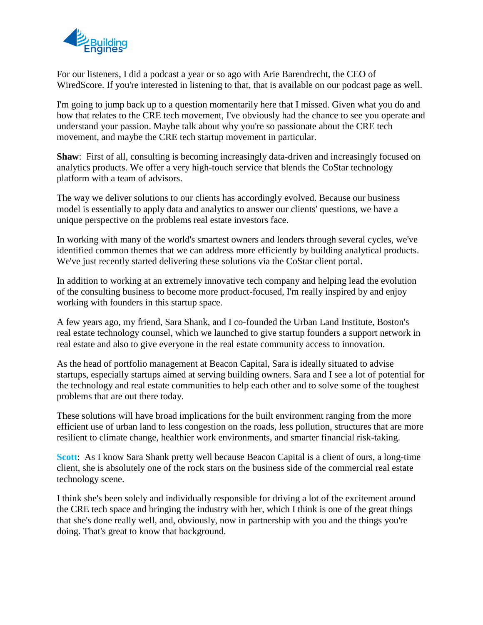

For our listeners, I did a podcast a year or so ago with Arie Barendrecht, the CEO of WiredScore. If you're interested in listening to that, that is available on our podcast page as well.

I'm going to jump back up to a question momentarily here that I missed. Given what you do and how that relates to the CRE tech movement, I've obviously had the chance to see you operate and understand your passion. Maybe talk about why you're so passionate about the CRE tech movement, and maybe the CRE tech startup movement in particular.

**Shaw**: First of all, consulting is becoming increasingly data-driven and increasingly focused on analytics products. We offer a very high-touch service that blends the CoStar technology platform with a team of advisors.

The way we deliver solutions to our clients has accordingly evolved. Because our business model is essentially to apply data and analytics to answer our clients' questions, we have a unique perspective on the problems real estate investors face.

In working with many of the world's smartest owners and lenders through several cycles, we've identified common themes that we can address more efficiently by building analytical products. We've just recently started delivering these solutions via the CoStar client portal.

In addition to working at an extremely innovative tech company and helping lead the evolution of the consulting business to become more product-focused, I'm really inspired by and enjoy working with founders in this startup space.

A few years ago, my friend, Sara Shank, and I co-founded the Urban Land Institute, Boston's real estate technology counsel, which we launched to give startup founders a support network in real estate and also to give everyone in the real estate community access to innovation.

As the head of portfolio management at Beacon Capital, Sara is ideally situated to advise startups, especially startups aimed at serving building owners. Sara and I see a lot of potential for the technology and real estate communities to help each other and to solve some of the toughest problems that are out there today.

These solutions will have broad implications for the built environment ranging from the more efficient use of urban land to less congestion on the roads, less pollution, structures that are more resilient to climate change, healthier work environments, and smarter financial risk-taking.

**Scott**: As I know Sara Shank pretty well because Beacon Capital is a client of ours, a long-time client, she is absolutely one of the rock stars on the business side of the commercial real estate technology scene.

I think she's been solely and individually responsible for driving a lot of the excitement around the CRE tech space and bringing the industry with her, which I think is one of the great things that she's done really well, and, obviously, now in partnership with you and the things you're doing. That's great to know that background.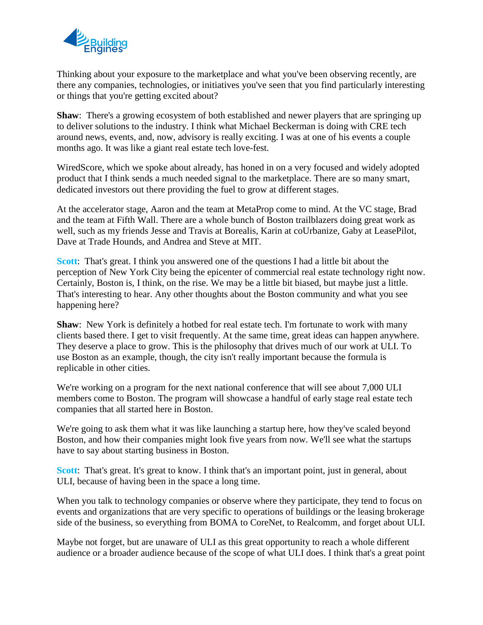

Thinking about your exposure to the marketplace and what you've been observing recently, are there any companies, technologies, or initiatives you've seen that you find particularly interesting or things that you're getting excited about?

**Shaw**: There's a growing ecosystem of both established and newer players that are springing up to deliver solutions to the industry. I think what Michael Beckerman is doing with CRE tech around news, events, and, now, advisory is really exciting. I was at one of his events a couple months ago. It was like a giant real estate tech love-fest.

WiredScore, which we spoke about already, has honed in on a very focused and widely adopted product that I think sends a much needed signal to the marketplace. There are so many smart, dedicated investors out there providing the fuel to grow at different stages.

At the accelerator stage, Aaron and the team at MetaProp come to mind. At the VC stage, Brad and the team at Fifth Wall. There are a whole bunch of Boston trailblazers doing great work as well, such as my friends Jesse and Travis at Borealis, Karin at coUrbanize, Gaby at LeasePilot, Dave at Trade Hounds, and Andrea and Steve at MIT.

**Scott**: That's great. I think you answered one of the questions I had a little bit about the perception of New York City being the epicenter of commercial real estate technology right now. Certainly, Boston is, I think, on the rise. We may be a little bit biased, but maybe just a little. That's interesting to hear. Any other thoughts about the Boston community and what you see happening here?

**Shaw**: New York is definitely a hotbed for real estate tech. I'm fortunate to work with many clients based there. I get to visit frequently. At the same time, great ideas can happen anywhere. They deserve a place to grow. This is the philosophy that drives much of our work at ULI. To use Boston as an example, though, the city isn't really important because the formula is replicable in other cities.

We're working on a program for the next national conference that will see about 7,000 ULI members come to Boston. The program will showcase a handful of early stage real estate tech companies that all started here in Boston.

We're going to ask them what it was like launching a startup here, how they've scaled beyond Boston, and how their companies might look five years from now. We'll see what the startups have to say about starting business in Boston.

**Scott:** That's great. It's great to know. I think that's an important point, just in general, about ULI, because of having been in the space a long time.

When you talk to technology companies or observe where they participate, they tend to focus on events and organizations that are very specific to operations of buildings or the leasing brokerage side of the business, so everything from BOMA to CoreNet, to Realcomm, and forget about ULI.

Maybe not forget, but are unaware of ULI as this great opportunity to reach a whole different audience or a broader audience because of the scope of what ULI does. I think that's a great point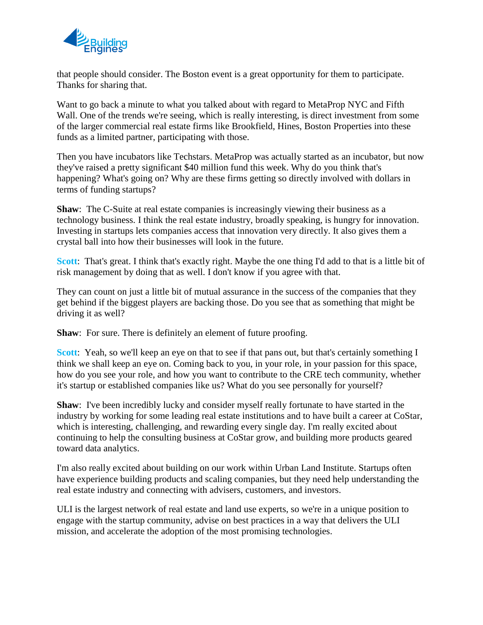

that people should consider. The Boston event is a great opportunity for them to participate. Thanks for sharing that.

Want to go back a minute to what you talked about with regard to MetaProp NYC and Fifth Wall. One of the trends we're seeing, which is really interesting, is direct investment from some of the larger commercial real estate firms like Brookfield, Hines, Boston Properties into these funds as a limited partner, participating with those.

Then you have incubators like Techstars. MetaProp was actually started as an incubator, but now they've raised a pretty significant \$40 million fund this week. Why do you think that's happening? What's going on? Why are these firms getting so directly involved with dollars in terms of funding startups?

**Shaw**: The C-Suite at real estate companies is increasingly viewing their business as a technology business. I think the real estate industry, broadly speaking, is hungry for innovation. Investing in startups lets companies access that innovation very directly. It also gives them a crystal ball into how their businesses will look in the future.

**Scott**: That's great. I think that's exactly right. Maybe the one thing I'd add to that is a little bit of risk management by doing that as well. I don't know if you agree with that.

They can count on just a little bit of mutual assurance in the success of the companies that they get behind if the biggest players are backing those. Do you see that as something that might be driving it as well?

**Shaw**: For sure. There is definitely an element of future proofing.

**Scott**: Yeah, so we'll keep an eye on that to see if that pans out, but that's certainly something I think we shall keep an eye on. Coming back to you, in your role, in your passion for this space, how do you see your role, and how you want to contribute to the CRE tech community, whether it's startup or established companies like us? What do you see personally for yourself?

**Shaw**: I've been incredibly lucky and consider myself really fortunate to have started in the industry by working for some leading real estate institutions and to have built a career at CoStar, which is interesting, challenging, and rewarding every single day. I'm really excited about continuing to help the consulting business at CoStar grow, and building more products geared toward data analytics.

I'm also really excited about building on our work within Urban Land Institute. Startups often have experience building products and scaling companies, but they need help understanding the real estate industry and connecting with advisers, customers, and investors.

ULI is the largest network of real estate and land use experts, so we're in a unique position to engage with the startup community, advise on best practices in a way that delivers the ULI mission, and accelerate the adoption of the most promising technologies.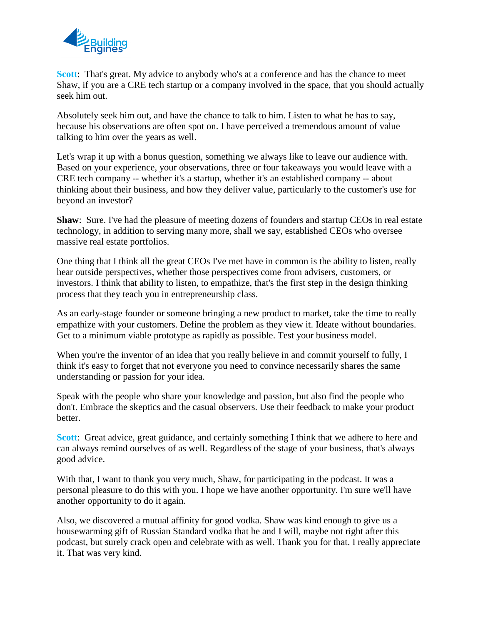

**Scott:** That's great. My advice to anybody who's at a conference and has the chance to meet Shaw, if you are a CRE tech startup or a company involved in the space, that you should actually seek him out.

Absolutely seek him out, and have the chance to talk to him. Listen to what he has to say, because his observations are often spot on. I have perceived a tremendous amount of value talking to him over the years as well.

Let's wrap it up with a bonus question, something we always like to leave our audience with. Based on your experience, your observations, three or four takeaways you would leave with a CRE tech company -- whether it's a startup, whether it's an established company -- about thinking about their business, and how they deliver value, particularly to the customer's use for beyond an investor?

**Shaw**: Sure. I've had the pleasure of meeting dozens of founders and startup CEOs in real estate technology, in addition to serving many more, shall we say, established CEOs who oversee massive real estate portfolios.

One thing that I think all the great CEOs I've met have in common is the ability to listen, really hear outside perspectives, whether those perspectives come from advisers, customers, or investors. I think that ability to listen, to empathize, that's the first step in the design thinking process that they teach you in entrepreneurship class.

As an early-stage founder or someone bringing a new product to market, take the time to really empathize with your customers. Define the problem as they view it. Ideate without boundaries. Get to a minimum viable prototype as rapidly as possible. Test your business model.

When you're the inventor of an idea that you really believe in and commit yourself to fully, I think it's easy to forget that not everyone you need to convince necessarily shares the same understanding or passion for your idea.

Speak with the people who share your knowledge and passion, but also find the people who don't. Embrace the skeptics and the casual observers. Use their feedback to make your product better.

**Scott:** Great advice, great guidance, and certainly something I think that we adhere to here and can always remind ourselves of as well. Regardless of the stage of your business, that's always good advice.

With that, I want to thank you very much, Shaw, for participating in the podcast. It was a personal pleasure to do this with you. I hope we have another opportunity. I'm sure we'll have another opportunity to do it again.

Also, we discovered a mutual affinity for good vodka. Shaw was kind enough to give us a housewarming gift of Russian Standard vodka that he and I will, maybe not right after this podcast, but surely crack open and celebrate with as well. Thank you for that. I really appreciate it. That was very kind.